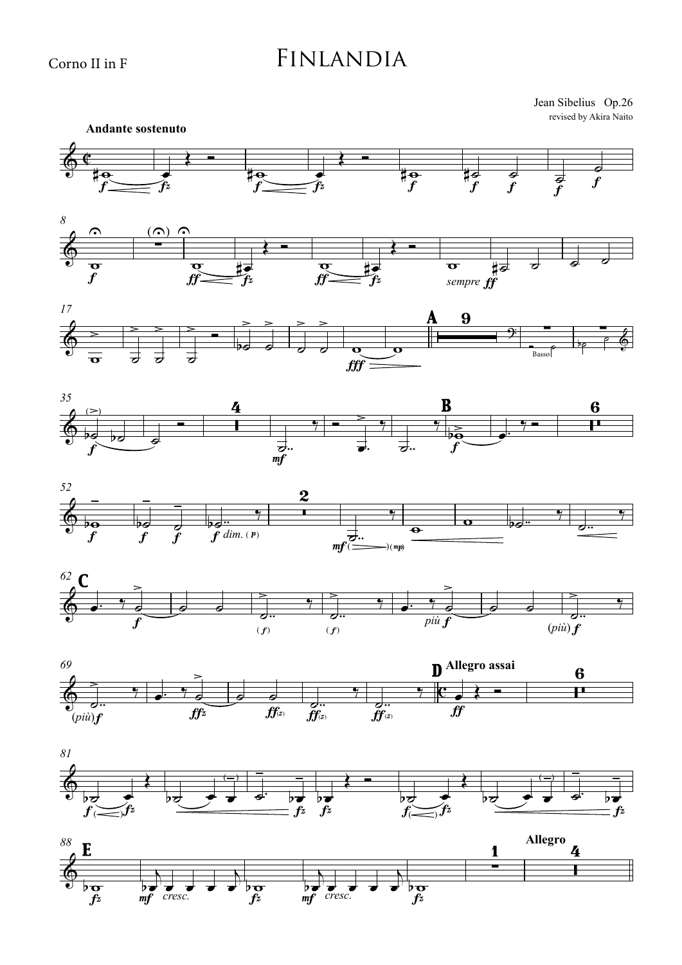## Finlandia

revised by Akira Naito Jean Sibelius Op.26



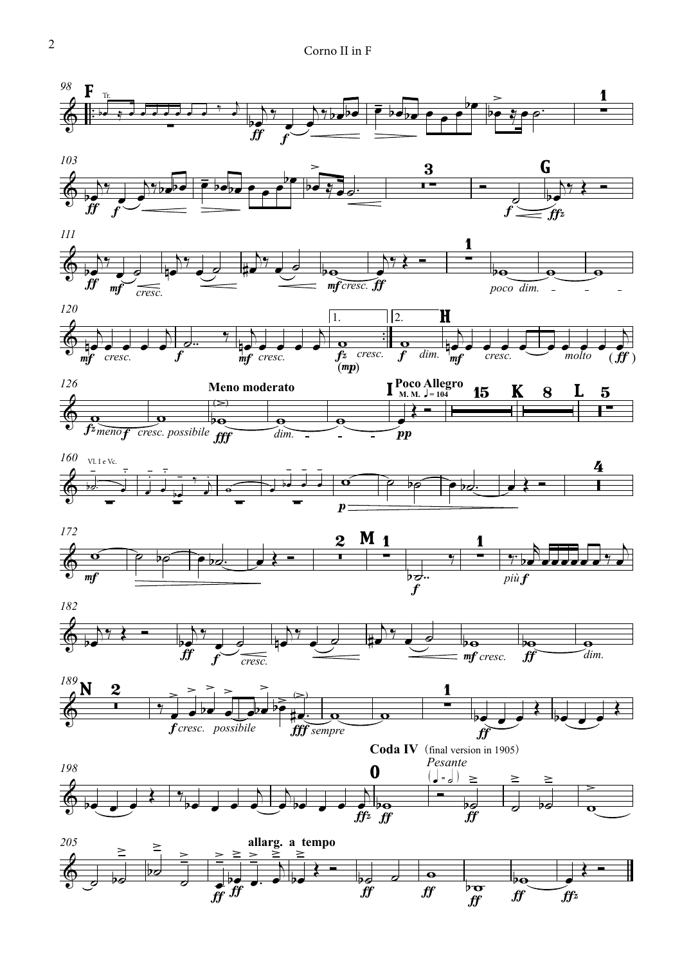